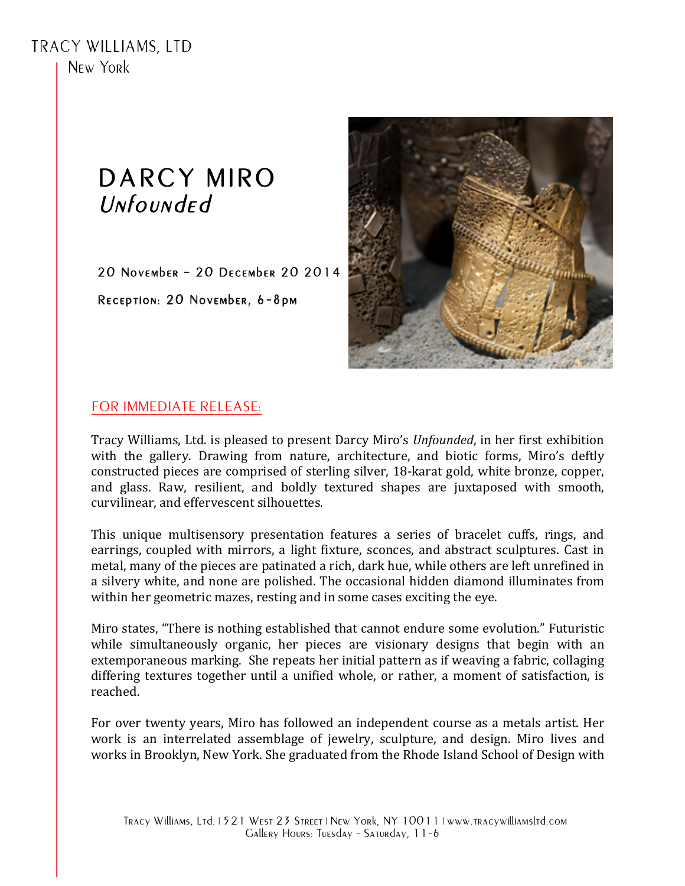**TRACY WILLIAMS, LTD** N<sub>FW</sub> York

## DARCY MIRO Unfounded

20 NOVEMbER - 20 DECEMbER 20 2014 RECEPTION: 20 NOVEMbER, 6-8pm



## FOR IMMEDIATE RELEASE:

Tracy Williams, Ltd. is pleased to present Darcy Miro's Unfounded, in her first exhibition with the gallery. Drawing from nature, architecture, and biotic forms, Miro's deftly constructed pieces are comprised of sterling silver, 18-karat gold, white bronze, copper, and glass. Raw, resilient, and boldly textured shapes are juxtaposed with smooth. curvilinear, and effervescent silhouettes.

This unique multisensory presentation features a series of bracelet cuffs, rings, and earrings, coupled with mirrors, a light fixture, sconces, and abstract sculptures. Cast in metal, many of the pieces are patinated a rich, dark hue, while others are left unrefined in a silvery white, and none are polished. The occasional hidden diamond illuminates from within her geometric mazes, resting and in some cases exciting the eye.

Miro states, "There is nothing established that cannot endure some evolution." Futuristic while simultaneously organic, her pieces are visionary designs that begin with an extemporaneous marking. She repeats her initial pattern as if weaving a fabric, collaging differing textures together until a unified whole, or rather, a moment of satisfaction, is reached.

For over twenty years, Miro has followed an independent course as a metals artist. Her work is an interrelated assemblage of jewelry, sculpture, and design. Miro lives and works in Brooklyn, New York. She graduated from the Rhode Island School of Design with